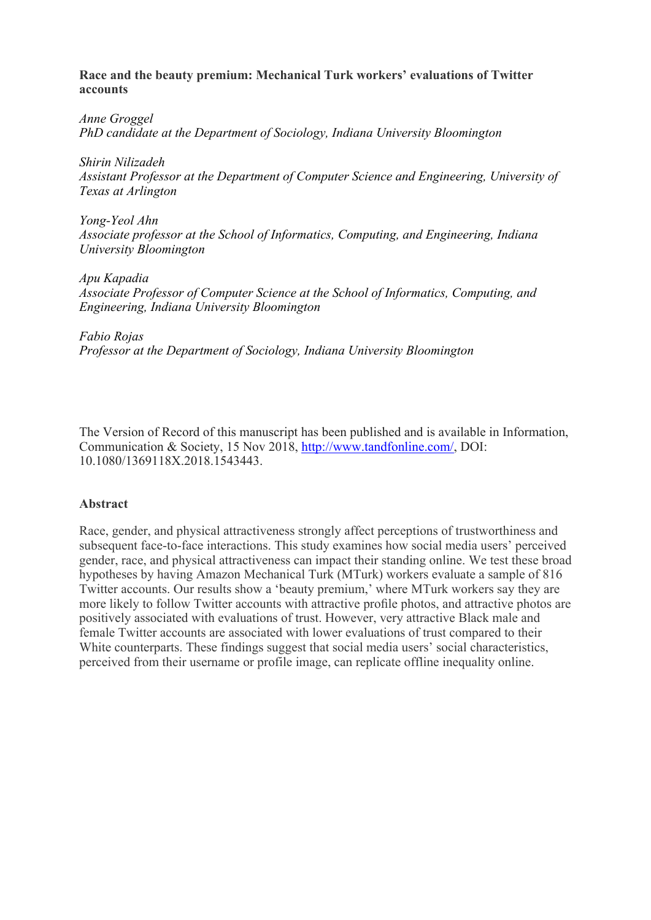## **Race and the beauty premium: Mechanical Turk workers' evaluations of Twitter accounts**

*Anne Groggel PhD candidate at the Department of Sociology, Indiana University Bloomington* 

*Shirin Nilizadeh Assistant Professor at the Department of Computer Science and Engineering, University of Texas at Arlington* 

*Yong-Yeol Ahn Associate professor at the School of Informatics, Computing, and Engineering, Indiana University Bloomington* 

*Apu Kapadia Associate Professor of Computer Science at the School of Informatics, Computing, and Engineering, Indiana University Bloomington* 

*Fabio Rojas Professor at the Department of Sociology, Indiana University Bloomington* 

The Version of Record of this manuscript has been published and is available in Information, Communication & Society, 15 Nov 2018, http://www.tandfonline.com/, DOI: 10.1080/1369118X.2018.1543443.

## **Abstract**

Race, gender, and physical attractiveness strongly affect perceptions of trustworthiness and subsequent face-to-face interactions. This study examines how social media users' perceived gender, race, and physical attractiveness can impact their standing online. We test these broad hypotheses by having Amazon Mechanical Turk (MTurk) workers evaluate a sample of 816 Twitter accounts. Our results show a 'beauty premium,' where MTurk workers say they are more likely to follow Twitter accounts with attractive profile photos, and attractive photos are positively associated with evaluations of trust. However, very attractive Black male and female Twitter accounts are associated with lower evaluations of trust compared to their White counterparts. These findings suggest that social media users' social characteristics, perceived from their username or profile image, can replicate offline inequality online.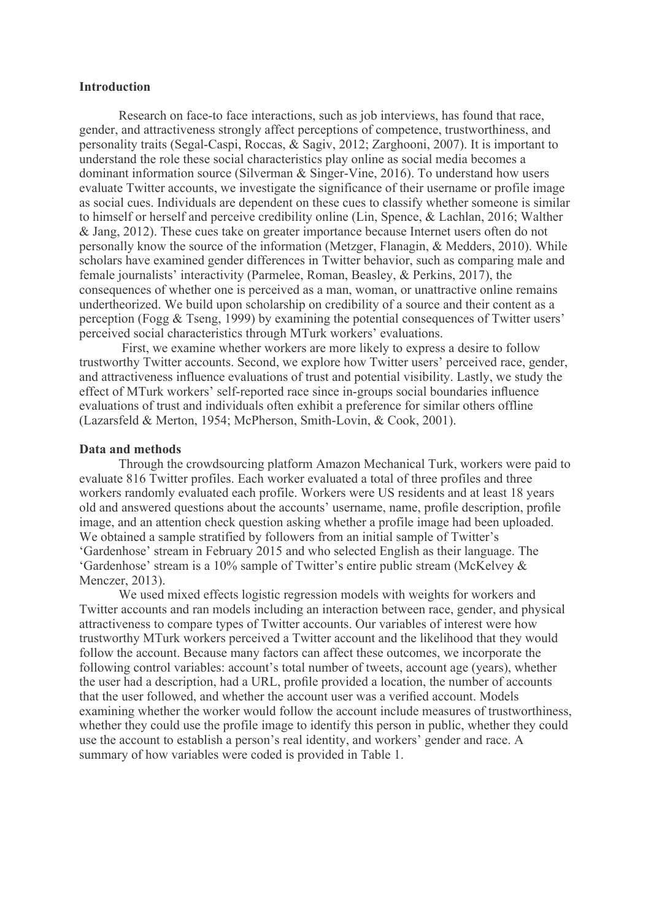#### **Introduction**

Research on face-to face interactions, such as job interviews, has found that race, gender, and attractiveness strongly affect perceptions of competence, trustworthiness, and personality traits (Segal-Caspi, Roccas, & Sagiv, 2012; Zarghooni, 2007). It is important to understand the role these social characteristics play online as social media becomes a dominant information source (Silverman & Singer-Vine, 2016). To understand how users evaluate Twitter accounts, we investigate the significance of their username or profile image as social cues. Individuals are dependent on these cues to classify whether someone is similar to himself or herself and perceive credibility online (Lin, Spence, & Lachlan, 2016; Walther & Jang, 2012). These cues take on greater importance because Internet users often do not personally know the source of the information (Metzger, Flanagin, & Medders, 2010). While scholars have examined gender differences in Twitter behavior, such as comparing male and female journalists' interactivity (Parmelee, Roman, Beasley, & Perkins, 2017), the consequences of whether one is perceived as a man, woman, or unattractive online remains undertheorized. We build upon scholarship on credibility of a source and their content as a perception (Fogg & Tseng, 1999) by examining the potential consequences of Twitter users' perceived social characteristics through MTurk workers' evaluations.

First, we examine whether workers are more likely to express a desire to follow trustworthy Twitter accounts. Second, we explore how Twitter users' perceived race, gender, and attractiveness influence evaluations of trust and potential visibility. Lastly, we study the effect of MTurk workers' self-reported race since in-groups social boundaries influence evaluations of trust and individuals often exhibit a preference for similar others offline (Lazarsfeld & Merton, 1954; McPherson, Smith-Lovin, & Cook, 2001).

#### **Data and methods**

Through the crowdsourcing platform Amazon Mechanical Turk, workers were paid to evaluate 816 Twitter profiles. Each worker evaluated a total of three profiles and three workers randomly evaluated each profile. Workers were US residents and at least 18 years old and answered questions about the accounts' username, name, profile description, profile image, and an attention check question asking whether a profile image had been uploaded. We obtained a sample stratified by followers from an initial sample of Twitter's 'Gardenhose' stream in February 2015 and who selected English as their language. The 'Gardenhose' stream is a 10% sample of Twitter's entire public stream (McKelvey & Menczer, 2013).

We used mixed effects logistic regression models with weights for workers and Twitter accounts and ran models including an interaction between race, gender, and physical attractiveness to compare types of Twitter accounts. Our variables of interest were how trustworthy MTurk workers perceived a Twitter account and the likelihood that they would follow the account. Because many factors can affect these outcomes, we incorporate the following control variables: account's total number of tweets, account age (years), whether the user had a description, had a URL, profile provided a location, the number of accounts that the user followed, and whether the account user was a verified account. Models examining whether the worker would follow the account include measures of trustworthiness, whether they could use the profile image to identify this person in public, whether they could use the account to establish a person's real identity, and workers' gender and race. A summary of how variables were coded is provided in Table 1.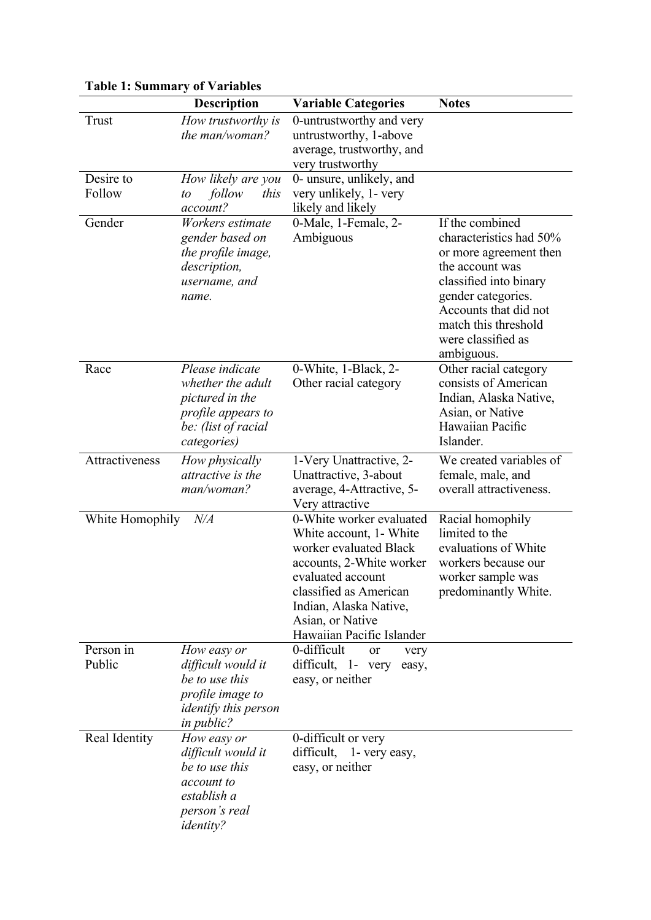| <b>Table 1: Summary of Variables</b> |                                                                                                                             |                                                                                                                                                                                                                                     |                                                                                                                                                                                                                              |  |  |  |  |
|--------------------------------------|-----------------------------------------------------------------------------------------------------------------------------|-------------------------------------------------------------------------------------------------------------------------------------------------------------------------------------------------------------------------------------|------------------------------------------------------------------------------------------------------------------------------------------------------------------------------------------------------------------------------|--|--|--|--|
|                                      | <b>Description</b>                                                                                                          | <b>Variable Categories</b>                                                                                                                                                                                                          | <b>Notes</b>                                                                                                                                                                                                                 |  |  |  |  |
| Trust<br>Desire to<br>Follow         | How trustworthy is<br>the man/woman?<br>How likely are you<br>follow<br>this<br>to                                          | 0-untrustworthy and very<br>untrustworthy, 1-above<br>average, trustworthy, and<br>very trustworthy<br>0- unsure, unlikely, and<br>very unlikely, 1- very                                                                           |                                                                                                                                                                                                                              |  |  |  |  |
| Gender                               | account?<br>Workers estimate<br>gender based on<br>the profile image,<br>description,<br>username, and<br>name.             | likely and likely<br>0-Male, 1-Female, 2-<br>Ambiguous                                                                                                                                                                              | If the combined<br>characteristics had 50%<br>or more agreement then<br>the account was<br>classified into binary<br>gender categories.<br>Accounts that did not<br>match this threshold<br>were classified as<br>ambiguous. |  |  |  |  |
| Race                                 | Please indicate<br>whether the adult<br>pictured in the<br>profile appears to<br>be: (list of racial<br>categories)         | 0-White, 1-Black, 2-<br>Other racial category                                                                                                                                                                                       | Other racial category<br>consists of American<br>Indian, Alaska Native,<br>Asian, or Native<br>Hawaiian Pacific<br>Islander.                                                                                                 |  |  |  |  |
| Attractiveness                       | How physically<br>attractive is the<br>man/woman?                                                                           | 1-Very Unattractive, 2-<br>Unattractive, 3-about<br>average, 4-Attractive, 5-<br>Very attractive                                                                                                                                    | We created variables of<br>female, male, and<br>overall attractiveness.                                                                                                                                                      |  |  |  |  |
| White Homophily                      | $N\!/\!A$                                                                                                                   | 0-White worker evaluated<br>White account, 1- White<br>worker evaluated Black<br>accounts, 2-White worker<br>evaluated account<br>classified as American<br>Indian, Alaska Native,<br>Asian, or Native<br>Hawaiian Pacific Islander | Racial homophily<br>limited to the<br>evaluations of White<br>workers because our<br>worker sample was<br>predominantly White.                                                                                               |  |  |  |  |
| Person in<br>Public                  | How easy or<br>difficult would it<br>be to use this<br>profile image to<br><i>identify this person</i><br><i>in public?</i> | 0-difficult<br>or<br>very<br>difficult, 1- very<br>easy,<br>easy, or neither                                                                                                                                                        |                                                                                                                                                                                                                              |  |  |  |  |
| Real Identity                        | How easy or<br>difficult would it<br>be to use this<br>account to<br>establish a<br>person's real<br><i>identity?</i>       | 0-difficult or very<br>difficult,<br>1- very easy,<br>easy, or neither                                                                                                                                                              |                                                                                                                                                                                                                              |  |  |  |  |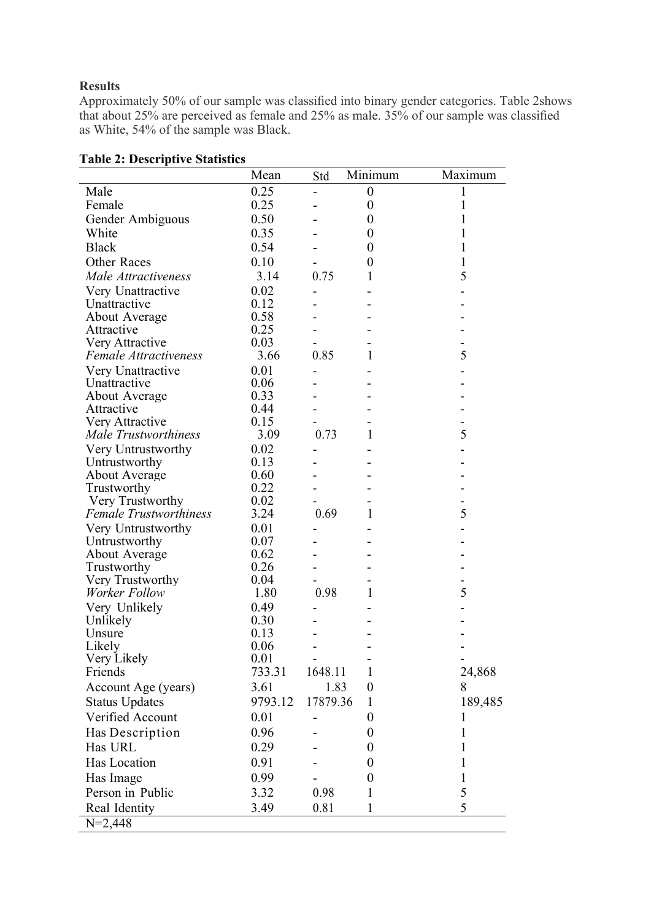## **Results**

Approximately 50% of our sample was classified into binary gender categories. Table 2shows that about 25% are perceived as female and 25% as male. 35% of our sample was classified as White, 54% of the sample was Black.

| 0.25<br>Male<br>$\boldsymbol{0}$<br>1<br>$\overline{\phantom{a}}$<br>Female<br>0.25<br>$\boldsymbol{0}$<br>1<br>0.50<br>1<br>Gender Ambiguous<br>$\boldsymbol{0}$<br>White<br>0.35<br>$\boldsymbol{0}$<br>1<br><b>Black</b><br>0.54<br>1<br>$\boldsymbol{0}$<br><b>Other Races</b><br>0.10<br>1<br>$\theta$<br>5<br>0.75<br>Male Attractiveness<br>3.14<br>1<br>0.02<br>Very Unattractive<br>0.12<br>Unattractive<br>0.58<br><b>About Average</b><br>0.25<br>Attractive<br>0.03<br>Very Attractive<br>5<br>0.85<br><b>Female Attractiveness</b><br>3.66<br>1<br>0.01<br>Very Unattractive<br>Unattractive<br>0.06<br>0.33<br><b>About Average</b><br>0.44<br>Attractive<br>0.15<br>Very Attractive<br>5<br>0.73<br><b>Male Trustworthiness</b><br>3.09<br>1<br>0.02<br>Very Untrustworthy<br>0.13<br>Untrustworthy<br>0.60<br><b>About Average</b><br>0.22<br>Trustworthy<br>Very Trustworthy<br>0.02<br>5<br><b>Female Trustworthiness</b><br>3.24<br>0.69<br>1<br>0.01<br>Very Untrustworthy<br>0.07<br>Untrustworthy<br>0.62<br>About Average<br>0.26<br>Trustworthy<br>Very Trustworthy<br>0.04<br>5<br>Worker Follow<br>0.98<br>1.80<br>1<br>Very Unlikely<br>0.49<br>Unlikely<br>0.30<br>0.13<br>Unsure<br>Likely<br>0.06<br>Very Likely<br>0.01<br>733.31<br>1648.11<br>Friends<br>1<br>24,868<br>1.83<br>Account Age (years)<br>3.61<br>8<br>$\boldsymbol{0}$<br><b>Status Updates</b><br>9793.12<br>17879.36<br>189,485<br>1<br>Verified Account<br>0.01<br>$\boldsymbol{0}$<br>1<br>Has Description<br>0.96<br>$\theta$<br>1<br>Has URL<br>0.29<br>1<br>$\theta$<br>Has Location<br>0.91<br>1<br>$\theta$<br>Has Image<br>0.99<br>$\boldsymbol{0}$<br>1<br>Person in Public<br>5<br>3.32<br>0.98<br>1<br>5<br>Real Identity<br>3.49<br>0.81<br>1 | rabic 2. Descriptive Statistics | Mean | Std | Minimum | Maximum |
|------------------------------------------------------------------------------------------------------------------------------------------------------------------------------------------------------------------------------------------------------------------------------------------------------------------------------------------------------------------------------------------------------------------------------------------------------------------------------------------------------------------------------------------------------------------------------------------------------------------------------------------------------------------------------------------------------------------------------------------------------------------------------------------------------------------------------------------------------------------------------------------------------------------------------------------------------------------------------------------------------------------------------------------------------------------------------------------------------------------------------------------------------------------------------------------------------------------------------------------------------------------------------------------------------------------------------------------------------------------------------------------------------------------------------------------------------------------------------------------------------------------------------------------------------------------------------------------------------------------------------------------------------------------------------------------------------------------------------------------------------------|---------------------------------|------|-----|---------|---------|
|                                                                                                                                                                                                                                                                                                                                                                                                                                                                                                                                                                                                                                                                                                                                                                                                                                                                                                                                                                                                                                                                                                                                                                                                                                                                                                                                                                                                                                                                                                                                                                                                                                                                                                                                                            |                                 |      |     |         |         |
|                                                                                                                                                                                                                                                                                                                                                                                                                                                                                                                                                                                                                                                                                                                                                                                                                                                                                                                                                                                                                                                                                                                                                                                                                                                                                                                                                                                                                                                                                                                                                                                                                                                                                                                                                            |                                 |      |     |         |         |
|                                                                                                                                                                                                                                                                                                                                                                                                                                                                                                                                                                                                                                                                                                                                                                                                                                                                                                                                                                                                                                                                                                                                                                                                                                                                                                                                                                                                                                                                                                                                                                                                                                                                                                                                                            |                                 |      |     |         |         |
|                                                                                                                                                                                                                                                                                                                                                                                                                                                                                                                                                                                                                                                                                                                                                                                                                                                                                                                                                                                                                                                                                                                                                                                                                                                                                                                                                                                                                                                                                                                                                                                                                                                                                                                                                            |                                 |      |     |         |         |
|                                                                                                                                                                                                                                                                                                                                                                                                                                                                                                                                                                                                                                                                                                                                                                                                                                                                                                                                                                                                                                                                                                                                                                                                                                                                                                                                                                                                                                                                                                                                                                                                                                                                                                                                                            |                                 |      |     |         |         |
|                                                                                                                                                                                                                                                                                                                                                                                                                                                                                                                                                                                                                                                                                                                                                                                                                                                                                                                                                                                                                                                                                                                                                                                                                                                                                                                                                                                                                                                                                                                                                                                                                                                                                                                                                            |                                 |      |     |         |         |
|                                                                                                                                                                                                                                                                                                                                                                                                                                                                                                                                                                                                                                                                                                                                                                                                                                                                                                                                                                                                                                                                                                                                                                                                                                                                                                                                                                                                                                                                                                                                                                                                                                                                                                                                                            |                                 |      |     |         |         |
|                                                                                                                                                                                                                                                                                                                                                                                                                                                                                                                                                                                                                                                                                                                                                                                                                                                                                                                                                                                                                                                                                                                                                                                                                                                                                                                                                                                                                                                                                                                                                                                                                                                                                                                                                            |                                 |      |     |         |         |
|                                                                                                                                                                                                                                                                                                                                                                                                                                                                                                                                                                                                                                                                                                                                                                                                                                                                                                                                                                                                                                                                                                                                                                                                                                                                                                                                                                                                                                                                                                                                                                                                                                                                                                                                                            |                                 |      |     |         |         |
|                                                                                                                                                                                                                                                                                                                                                                                                                                                                                                                                                                                                                                                                                                                                                                                                                                                                                                                                                                                                                                                                                                                                                                                                                                                                                                                                                                                                                                                                                                                                                                                                                                                                                                                                                            |                                 |      |     |         |         |
|                                                                                                                                                                                                                                                                                                                                                                                                                                                                                                                                                                                                                                                                                                                                                                                                                                                                                                                                                                                                                                                                                                                                                                                                                                                                                                                                                                                                                                                                                                                                                                                                                                                                                                                                                            |                                 |      |     |         |         |
|                                                                                                                                                                                                                                                                                                                                                                                                                                                                                                                                                                                                                                                                                                                                                                                                                                                                                                                                                                                                                                                                                                                                                                                                                                                                                                                                                                                                                                                                                                                                                                                                                                                                                                                                                            |                                 |      |     |         |         |
|                                                                                                                                                                                                                                                                                                                                                                                                                                                                                                                                                                                                                                                                                                                                                                                                                                                                                                                                                                                                                                                                                                                                                                                                                                                                                                                                                                                                                                                                                                                                                                                                                                                                                                                                                            |                                 |      |     |         |         |
|                                                                                                                                                                                                                                                                                                                                                                                                                                                                                                                                                                                                                                                                                                                                                                                                                                                                                                                                                                                                                                                                                                                                                                                                                                                                                                                                                                                                                                                                                                                                                                                                                                                                                                                                                            |                                 |      |     |         |         |
|                                                                                                                                                                                                                                                                                                                                                                                                                                                                                                                                                                                                                                                                                                                                                                                                                                                                                                                                                                                                                                                                                                                                                                                                                                                                                                                                                                                                                                                                                                                                                                                                                                                                                                                                                            |                                 |      |     |         |         |
|                                                                                                                                                                                                                                                                                                                                                                                                                                                                                                                                                                                                                                                                                                                                                                                                                                                                                                                                                                                                                                                                                                                                                                                                                                                                                                                                                                                                                                                                                                                                                                                                                                                                                                                                                            |                                 |      |     |         |         |
|                                                                                                                                                                                                                                                                                                                                                                                                                                                                                                                                                                                                                                                                                                                                                                                                                                                                                                                                                                                                                                                                                                                                                                                                                                                                                                                                                                                                                                                                                                                                                                                                                                                                                                                                                            |                                 |      |     |         |         |
|                                                                                                                                                                                                                                                                                                                                                                                                                                                                                                                                                                                                                                                                                                                                                                                                                                                                                                                                                                                                                                                                                                                                                                                                                                                                                                                                                                                                                                                                                                                                                                                                                                                                                                                                                            |                                 |      |     |         |         |
|                                                                                                                                                                                                                                                                                                                                                                                                                                                                                                                                                                                                                                                                                                                                                                                                                                                                                                                                                                                                                                                                                                                                                                                                                                                                                                                                                                                                                                                                                                                                                                                                                                                                                                                                                            |                                 |      |     |         |         |
|                                                                                                                                                                                                                                                                                                                                                                                                                                                                                                                                                                                                                                                                                                                                                                                                                                                                                                                                                                                                                                                                                                                                                                                                                                                                                                                                                                                                                                                                                                                                                                                                                                                                                                                                                            |                                 |      |     |         |         |
|                                                                                                                                                                                                                                                                                                                                                                                                                                                                                                                                                                                                                                                                                                                                                                                                                                                                                                                                                                                                                                                                                                                                                                                                                                                                                                                                                                                                                                                                                                                                                                                                                                                                                                                                                            |                                 |      |     |         |         |
|                                                                                                                                                                                                                                                                                                                                                                                                                                                                                                                                                                                                                                                                                                                                                                                                                                                                                                                                                                                                                                                                                                                                                                                                                                                                                                                                                                                                                                                                                                                                                                                                                                                                                                                                                            |                                 |      |     |         |         |
|                                                                                                                                                                                                                                                                                                                                                                                                                                                                                                                                                                                                                                                                                                                                                                                                                                                                                                                                                                                                                                                                                                                                                                                                                                                                                                                                                                                                                                                                                                                                                                                                                                                                                                                                                            |                                 |      |     |         |         |
|                                                                                                                                                                                                                                                                                                                                                                                                                                                                                                                                                                                                                                                                                                                                                                                                                                                                                                                                                                                                                                                                                                                                                                                                                                                                                                                                                                                                                                                                                                                                                                                                                                                                                                                                                            |                                 |      |     |         |         |
|                                                                                                                                                                                                                                                                                                                                                                                                                                                                                                                                                                                                                                                                                                                                                                                                                                                                                                                                                                                                                                                                                                                                                                                                                                                                                                                                                                                                                                                                                                                                                                                                                                                                                                                                                            |                                 |      |     |         |         |
|                                                                                                                                                                                                                                                                                                                                                                                                                                                                                                                                                                                                                                                                                                                                                                                                                                                                                                                                                                                                                                                                                                                                                                                                                                                                                                                                                                                                                                                                                                                                                                                                                                                                                                                                                            |                                 |      |     |         |         |
|                                                                                                                                                                                                                                                                                                                                                                                                                                                                                                                                                                                                                                                                                                                                                                                                                                                                                                                                                                                                                                                                                                                                                                                                                                                                                                                                                                                                                                                                                                                                                                                                                                                                                                                                                            |                                 |      |     |         |         |
|                                                                                                                                                                                                                                                                                                                                                                                                                                                                                                                                                                                                                                                                                                                                                                                                                                                                                                                                                                                                                                                                                                                                                                                                                                                                                                                                                                                                                                                                                                                                                                                                                                                                                                                                                            |                                 |      |     |         |         |
|                                                                                                                                                                                                                                                                                                                                                                                                                                                                                                                                                                                                                                                                                                                                                                                                                                                                                                                                                                                                                                                                                                                                                                                                                                                                                                                                                                                                                                                                                                                                                                                                                                                                                                                                                            |                                 |      |     |         |         |
|                                                                                                                                                                                                                                                                                                                                                                                                                                                                                                                                                                                                                                                                                                                                                                                                                                                                                                                                                                                                                                                                                                                                                                                                                                                                                                                                                                                                                                                                                                                                                                                                                                                                                                                                                            |                                 |      |     |         |         |
|                                                                                                                                                                                                                                                                                                                                                                                                                                                                                                                                                                                                                                                                                                                                                                                                                                                                                                                                                                                                                                                                                                                                                                                                                                                                                                                                                                                                                                                                                                                                                                                                                                                                                                                                                            |                                 |      |     |         |         |
|                                                                                                                                                                                                                                                                                                                                                                                                                                                                                                                                                                                                                                                                                                                                                                                                                                                                                                                                                                                                                                                                                                                                                                                                                                                                                                                                                                                                                                                                                                                                                                                                                                                                                                                                                            |                                 |      |     |         |         |
|                                                                                                                                                                                                                                                                                                                                                                                                                                                                                                                                                                                                                                                                                                                                                                                                                                                                                                                                                                                                                                                                                                                                                                                                                                                                                                                                                                                                                                                                                                                                                                                                                                                                                                                                                            |                                 |      |     |         |         |
|                                                                                                                                                                                                                                                                                                                                                                                                                                                                                                                                                                                                                                                                                                                                                                                                                                                                                                                                                                                                                                                                                                                                                                                                                                                                                                                                                                                                                                                                                                                                                                                                                                                                                                                                                            |                                 |      |     |         |         |
|                                                                                                                                                                                                                                                                                                                                                                                                                                                                                                                                                                                                                                                                                                                                                                                                                                                                                                                                                                                                                                                                                                                                                                                                                                                                                                                                                                                                                                                                                                                                                                                                                                                                                                                                                            |                                 |      |     |         |         |
|                                                                                                                                                                                                                                                                                                                                                                                                                                                                                                                                                                                                                                                                                                                                                                                                                                                                                                                                                                                                                                                                                                                                                                                                                                                                                                                                                                                                                                                                                                                                                                                                                                                                                                                                                            |                                 |      |     |         |         |
|                                                                                                                                                                                                                                                                                                                                                                                                                                                                                                                                                                                                                                                                                                                                                                                                                                                                                                                                                                                                                                                                                                                                                                                                                                                                                                                                                                                                                                                                                                                                                                                                                                                                                                                                                            |                                 |      |     |         |         |
|                                                                                                                                                                                                                                                                                                                                                                                                                                                                                                                                                                                                                                                                                                                                                                                                                                                                                                                                                                                                                                                                                                                                                                                                                                                                                                                                                                                                                                                                                                                                                                                                                                                                                                                                                            |                                 |      |     |         |         |
|                                                                                                                                                                                                                                                                                                                                                                                                                                                                                                                                                                                                                                                                                                                                                                                                                                                                                                                                                                                                                                                                                                                                                                                                                                                                                                                                                                                                                                                                                                                                                                                                                                                                                                                                                            |                                 |      |     |         |         |
|                                                                                                                                                                                                                                                                                                                                                                                                                                                                                                                                                                                                                                                                                                                                                                                                                                                                                                                                                                                                                                                                                                                                                                                                                                                                                                                                                                                                                                                                                                                                                                                                                                                                                                                                                            |                                 |      |     |         |         |
|                                                                                                                                                                                                                                                                                                                                                                                                                                                                                                                                                                                                                                                                                                                                                                                                                                                                                                                                                                                                                                                                                                                                                                                                                                                                                                                                                                                                                                                                                                                                                                                                                                                                                                                                                            |                                 |      |     |         |         |
|                                                                                                                                                                                                                                                                                                                                                                                                                                                                                                                                                                                                                                                                                                                                                                                                                                                                                                                                                                                                                                                                                                                                                                                                                                                                                                                                                                                                                                                                                                                                                                                                                                                                                                                                                            |                                 |      |     |         |         |
|                                                                                                                                                                                                                                                                                                                                                                                                                                                                                                                                                                                                                                                                                                                                                                                                                                                                                                                                                                                                                                                                                                                                                                                                                                                                                                                                                                                                                                                                                                                                                                                                                                                                                                                                                            |                                 |      |     |         |         |
|                                                                                                                                                                                                                                                                                                                                                                                                                                                                                                                                                                                                                                                                                                                                                                                                                                                                                                                                                                                                                                                                                                                                                                                                                                                                                                                                                                                                                                                                                                                                                                                                                                                                                                                                                            |                                 |      |     |         |         |
|                                                                                                                                                                                                                                                                                                                                                                                                                                                                                                                                                                                                                                                                                                                                                                                                                                                                                                                                                                                                                                                                                                                                                                                                                                                                                                                                                                                                                                                                                                                                                                                                                                                                                                                                                            |                                 |      |     |         |         |
|                                                                                                                                                                                                                                                                                                                                                                                                                                                                                                                                                                                                                                                                                                                                                                                                                                                                                                                                                                                                                                                                                                                                                                                                                                                                                                                                                                                                                                                                                                                                                                                                                                                                                                                                                            | $N=2,448$                       |      |     |         |         |

# **Table 2: Descriptive Statistics**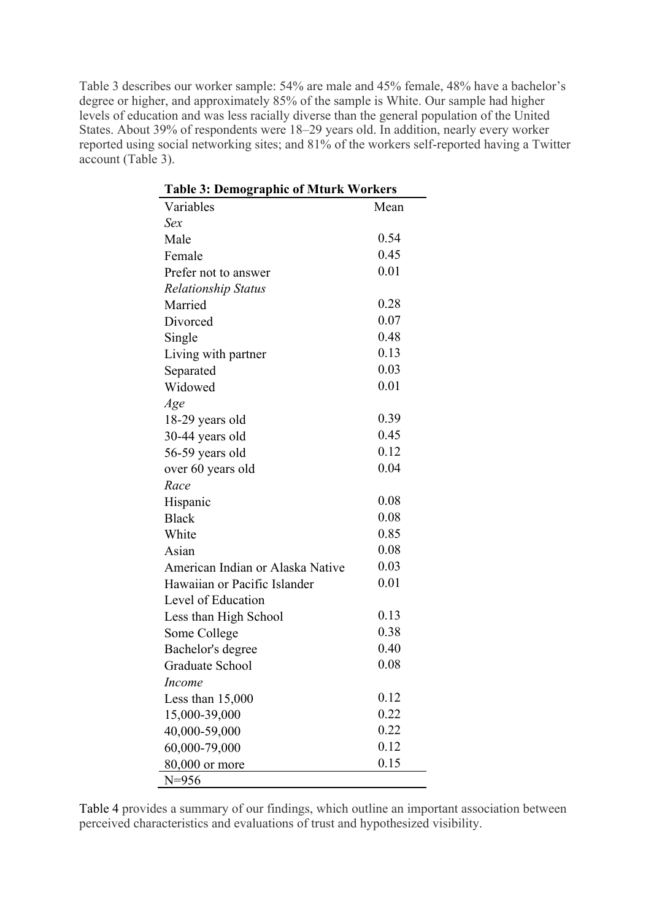Table 3 describes our worker sample: 54% are male and 45% female, 48% have a bachelor's degree or higher, and approximately 85% of the sample is White. Our sample had higher levels of education and was less racially diverse than the general population of the United States. About 39% of respondents were 18–29 years old. In addition, nearly every worker reported using social networking sites; and 81% of the workers self-reported having a Twitter account (Table 3).

| <b>Table 3: Demographic of Mturk Workers</b> |      |  |  |  |
|----------------------------------------------|------|--|--|--|
| Variables                                    | Mean |  |  |  |
| Sex                                          |      |  |  |  |
| Male                                         | 0.54 |  |  |  |
| Female                                       | 0.45 |  |  |  |
| Prefer not to answer                         | 0.01 |  |  |  |
| <b>Relationship Status</b>                   |      |  |  |  |
| Married                                      | 0.28 |  |  |  |
| Divorced                                     | 0.07 |  |  |  |
| Single                                       | 0.48 |  |  |  |
| Living with partner                          | 0.13 |  |  |  |
| Separated                                    | 0.03 |  |  |  |
| Widowed                                      | 0.01 |  |  |  |
| Age                                          |      |  |  |  |
| 18-29 years old                              | 0.39 |  |  |  |
| 30-44 years old                              | 0.45 |  |  |  |
| 56-59 years old                              | 0.12 |  |  |  |
| over 60 years old                            | 0.04 |  |  |  |
| Race                                         |      |  |  |  |
| Hispanic                                     | 0.08 |  |  |  |
| <b>Black</b>                                 | 0.08 |  |  |  |
| White                                        | 0.85 |  |  |  |
| Asian                                        | 0.08 |  |  |  |
| American Indian or Alaska Native             | 0.03 |  |  |  |
| Hawaiian or Pacific Islander                 | 0.01 |  |  |  |
| Level of Education                           |      |  |  |  |
| Less than High School                        | 0.13 |  |  |  |
| Some College                                 | 0.38 |  |  |  |
| Bachelor's degree                            | 0.40 |  |  |  |
| Graduate School                              | 0.08 |  |  |  |
| Income                                       |      |  |  |  |
| Less than 15,000                             | 0.12 |  |  |  |
| 15,000-39,000                                | 0.22 |  |  |  |
| 40,000-59,000                                | 0.22 |  |  |  |
| 60,000-79,000                                | 0.12 |  |  |  |
| 80,000 or more                               | 0.15 |  |  |  |
| N=956                                        |      |  |  |  |

Table 4 provides a summary of our findings, which outline an important association between perceived characteristics and evaluations of trust and hypothesized visibility.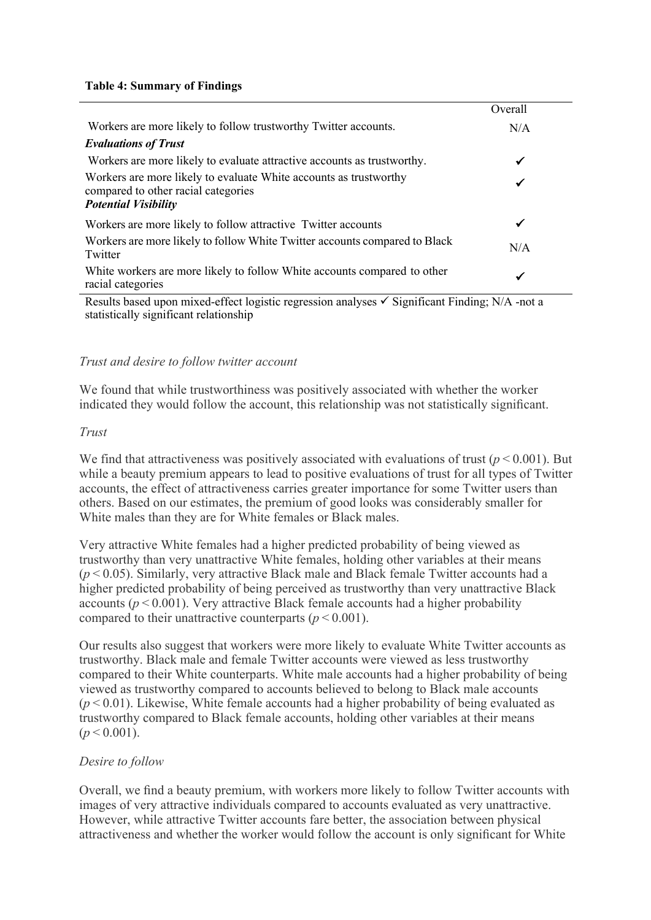#### **Table 4: Summary of Findings**

|                                                                                                                                         | Overall |
|-----------------------------------------------------------------------------------------------------------------------------------------|---------|
| Workers are more likely to follow trustworthy Twitter accounts.                                                                         | N/A     |
| <b>Evaluations of Trust</b>                                                                                                             |         |
| Workers are more likely to evaluate attractive accounts as trustworthy.                                                                 | ✔       |
| Workers are more likely to evaluate White accounts as trustworthy<br>compared to other racial categories<br><b>Potential Visibility</b> | ✓       |
| Workers are more likely to follow attractive Twitter accounts                                                                           | ✔       |
| Workers are more likely to follow White Twitter accounts compared to Black<br>Twitter                                                   | N/A     |
| White workers are more likely to follow White accounts compared to other<br>racial categories                                           | ✔       |

Results based upon mixed-effect logistic regression analyses  $\checkmark$  Significant Finding; N/A -not a statistically significant relationship

### *Trust and desire to follow twitter account*

We found that while trustworthiness was positively associated with whether the worker indicated they would follow the account, this relationship was not statistically significant.

#### *Trust*

We find that attractiveness was positively associated with evaluations of trust ( $p$  < 0.001). But while a beauty premium appears to lead to positive evaluations of trust for all types of Twitter accounts, the effect of attractiveness carries greater importance for some Twitter users than others. Based on our estimates, the premium of good looks was considerably smaller for White males than they are for White females or Black males.

Very attractive White females had a higher predicted probability of being viewed as trustworthy than very unattractive White females, holding other variables at their means  $(p<0.05)$ . Similarly, very attractive Black male and Black female Twitter accounts had a higher predicted probability of being perceived as trustworthy than very unattractive Black accounts  $(p < 0.001)$ . Very attractive Black female accounts had a higher probability compared to their unattractive counterparts ( $p$  < 0.001).

Our results also suggest that workers were more likely to evaluate White Twitter accounts as trustworthy. Black male and female Twitter accounts were viewed as less trustworthy compared to their White counterparts. White male accounts had a higher probability of being viewed as trustworthy compared to accounts believed to belong to Black male accounts  $(p<0.01)$ . Likewise, White female accounts had a higher probability of being evaluated as trustworthy compared to Black female accounts, holding other variables at their means  $(p < 0.001)$ .

#### *Desire to follow*

Overall, we find a beauty premium, with workers more likely to follow Twitter accounts with images of very attractive individuals compared to accounts evaluated as very unattractive. However, while attractive Twitter accounts fare better, the association between physical attractiveness and whether the worker would follow the account is only significant for White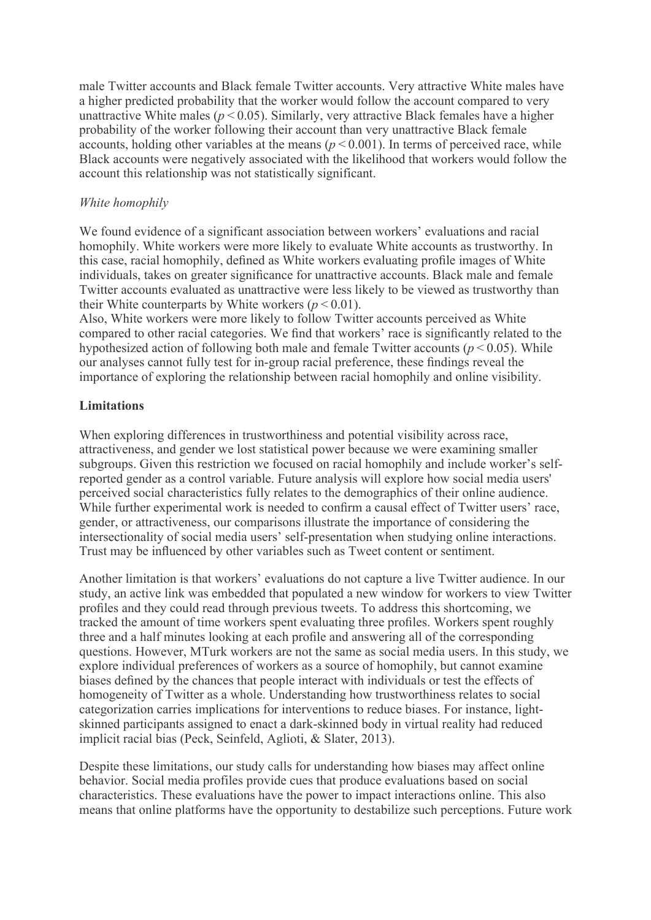male Twitter accounts and Black female Twitter accounts. Very attractive White males have a higher predicted probability that the worker would follow the account compared to very unattractive White males ( $p \le 0.05$ ). Similarly, very attractive Black females have a higher probability of the worker following their account than very unattractive Black female accounts, holding other variables at the means  $(p < 0.001)$ . In terms of perceived race, while Black accounts were negatively associated with the likelihood that workers would follow the account this relationship was not statistically significant.

## *White homophily*

We found evidence of a significant association between workers' evaluations and racial homophily. White workers were more likely to evaluate White accounts as trustworthy. In this case, racial homophily, defined as White workers evaluating profile images of White individuals, takes on greater significance for unattractive accounts. Black male and female Twitter accounts evaluated as unattractive were less likely to be viewed as trustworthy than their White counterparts by White workers  $(p < 0.01)$ .

Also, White workers were more likely to follow Twitter accounts perceived as White compared to other racial categories. We find that workers' race is significantly related to the hypothesized action of following both male and female Twitter accounts ( $p \le 0.05$ ). While our analyses cannot fully test for in-group racial preference, these findings reveal the importance of exploring the relationship between racial homophily and online visibility.

# **Limitations**

When exploring differences in trustworthiness and potential visibility across race, attractiveness, and gender we lost statistical power because we were examining smaller subgroups. Given this restriction we focused on racial homophily and include worker's selfreported gender as a control variable. Future analysis will explore how social media users' perceived social characteristics fully relates to the demographics of their online audience. While further experimental work is needed to confirm a causal effect of Twitter users' race, gender, or attractiveness, our comparisons illustrate the importance of considering the intersectionality of social media users' self-presentation when studying online interactions. Trust may be influenced by other variables such as Tweet content or sentiment.

Another limitation is that workers' evaluations do not capture a live Twitter audience. In our study, an active link was embedded that populated a new window for workers to view Twitter profiles and they could read through previous tweets. To address this shortcoming, we tracked the amount of time workers spent evaluating three profiles. Workers spent roughly three and a half minutes looking at each profile and answering all of the corresponding questions. However, MTurk workers are not the same as social media users. In this study, we explore individual preferences of workers as a source of homophily, but cannot examine biases defined by the chances that people interact with individuals or test the effects of homogeneity of Twitter as a whole. Understanding how trustworthiness relates to social categorization carries implications for interventions to reduce biases. For instance, lightskinned participants assigned to enact a dark-skinned body in virtual reality had reduced implicit racial bias (Peck, Seinfeld, Aglioti, & Slater, 2013).

Despite these limitations, our study calls for understanding how biases may affect online behavior. Social media profiles provide cues that produce evaluations based on social characteristics. These evaluations have the power to impact interactions online. This also means that online platforms have the opportunity to destabilize such perceptions. Future work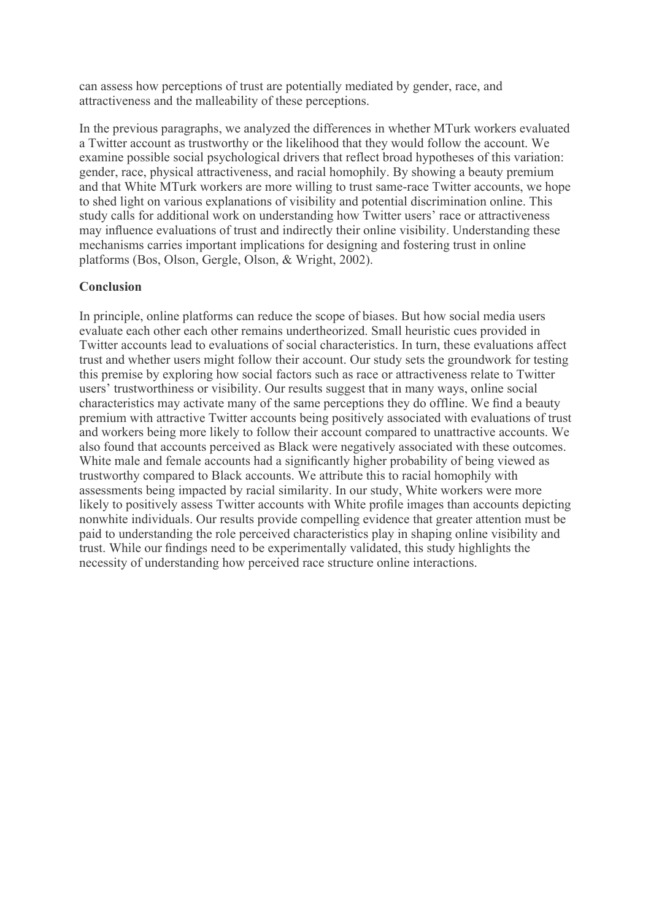can assess how perceptions of trust are potentially mediated by gender, race, and attractiveness and the malleability of these perceptions.

In the previous paragraphs, we analyzed the differences in whether MTurk workers evaluated a Twitter account as trustworthy or the likelihood that they would follow the account. We examine possible social psychological drivers that reflect broad hypotheses of this variation: gender, race, physical attractiveness, and racial homophily. By showing a beauty premium and that White MTurk workers are more willing to trust same-race Twitter accounts, we hope to shed light on various explanations of visibility and potential discrimination online. This study calls for additional work on understanding how Twitter users' race or attractiveness may influence evaluations of trust and indirectly their online visibility. Understanding these mechanisms carries important implications for designing and fostering trust in online platforms (Bos, Olson, Gergle, Olson, & Wright, 2002).

# **Conclusion**

In principle, online platforms can reduce the scope of biases. But how social media users evaluate each other each other remains undertheorized. Small heuristic cues provided in Twitter accounts lead to evaluations of social characteristics. In turn, these evaluations affect trust and whether users might follow their account. Our study sets the groundwork for testing this premise by exploring how social factors such as race or attractiveness relate to Twitter users' trustworthiness or visibility. Our results suggest that in many ways, online social characteristics may activate many of the same perceptions they do offline. We find a beauty premium with attractive Twitter accounts being positively associated with evaluations of trust and workers being more likely to follow their account compared to unattractive accounts. We also found that accounts perceived as Black were negatively associated with these outcomes. White male and female accounts had a significantly higher probability of being viewed as trustworthy compared to Black accounts. We attribute this to racial homophily with assessments being impacted by racial similarity. In our study, White workers were more likely to positively assess Twitter accounts with White profile images than accounts depicting nonwhite individuals. Our results provide compelling evidence that greater attention must be paid to understanding the role perceived characteristics play in shaping online visibility and trust. While our findings need to be experimentally validated, this study highlights the necessity of understanding how perceived race structure online interactions.